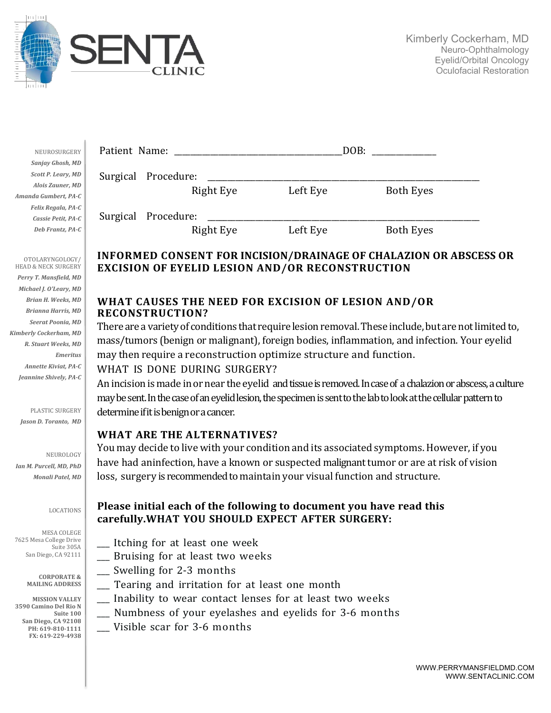

 $\overline{\phantom{a}}$ 

| NEUROSURGERY         | Patient Name: |            |          | DOB:             |  |
|----------------------|---------------|------------|----------|------------------|--|
| Sanjay Ghosh, MD     |               |            |          |                  |  |
| Scott P. Leary, MD   | Surgical      | Procedure: |          |                  |  |
| Alois Zauner, MD     |               | Right Eye  | Left Eye | <b>Both Eyes</b> |  |
| Amanda Gumbert, PA-C |               |            |          |                  |  |
| Felix Regala, PA-C   |               |            |          |                  |  |
| Cassie Petit, PA-C   | Surgical      | Procedure: |          |                  |  |
| Deb Frantz, PA-C     |               | Right Eye  | Left Eye | <b>Both Eyes</b> |  |

# **INFORMED CONSENT FOR INCISION/DRAINAGE OF CHALAZION OR ABSCESS OR EXCISION OF EYELID LESION AND/OR RECONSTRUCTION**

#### **WHAT CAUSES THE NEED FOR EXCISION OF LESION AND/OR RECONSTRUCTION?**

There are a variety of conditions that require lesion removal. These include, but are not limited to, mass/tumors (benign or malignant), foreign bodies, inflammation, and infection. Your eyelid may then require a reconstruction optimize structure and function. WHAT IS DONE DURING SURGERY?

An incision is made in or near the eyelid and tissue is removed. In case of a chalazion or abscess, a culture may be sent. In the case of an eyelid lesion, the specimen is sent to the lab to look at the cellular pattern to determine if it is benign or a cancer.

#### **WHAT ARE THE ALTERNATIVES?**

You may decide to live with your condition and its associated symptoms.However, if you have had aninfection, have a known or suspected malignant tumor or are at risk of vision loss, surgery is recommended to maintain your visual function and structure.

### **Please initial each of the following to document you have read this carefully.WHAT YOU SHOULD EXPECT AFTER SURGERY:**

- \_\_\_ Itching for at least one week
- \_\_\_ Bruising for at least two weeks
- \_\_\_ Swelling for 2-3 months
- \_\_\_ Tearing and irritation for at least one month
- \_\_\_ Inability to wear contact lenses for at least two weeks
- \_\_\_ Numbness of your eyelashes and eyelids for 3-6 months
- Visible scar for 3-6 months

MESA COLEGE 7625 Mesa College Drive Suite 305A San Diego, CA 92111

*Ian M. Purcell, MD, PhD Monali Patel, MD*

OTOLARYNGOLOGY/ HEAD & NECK SURGERY Perry T. Mansfield, MD *Michael J. O'Leary, MD Brian H. Weeks, MD Brianna Harris, MD Seerat Poonia, MD Kimberly Cockerham, MD R. Stuart Weeks, MD*

*Emeritus*

*Annette Kiviat, PA-C* Jeannine Shively, PA-C

PLASTIC SURGERY *Jason D. Toranto, MD*

NEUROLOGY

LOCATIONS

#### **CORPORATE & MAILING ADDRESS**

**MISSION VALLEY 3590 Camino Del Rio N Suite 100 San Diego, CA 92108 PH: 619-810-1111 FX: 619-229-4938**